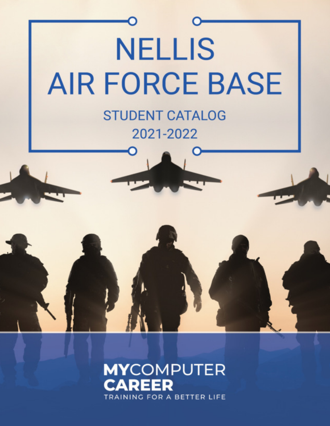

## **MYCOMPUTER** ТД DEED **TRAINING FOR A BETTER LIFE**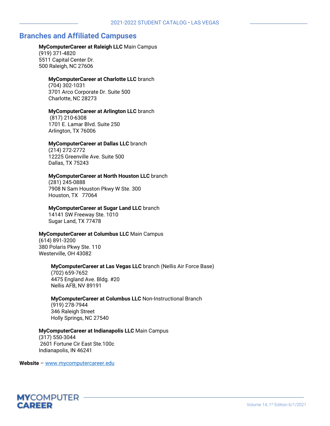### **Branches and Affiliated Campuses**

#### **MyComputerCareer at Raleigh LLC** Main Campus

(919) 371-4820 5511 Capital Center Dr. 500 Raleigh, NC 27606

#### **MyComputerCareer at Charlotte LLC** branch

(704) 302-1031 3701 Arco Corporate Dr. Suite 500 Charlotte, NC 28273

#### **MyComputerCareer at Arlington LLC** branch

(817) 210-6308 1701 E. Lamar Blvd. Suite 250 Arlington, TX 76006

#### **MyComputerCareer at Dallas LLC** branch

(214) 272-2772 12225 Greenville Ave. Suite 500 Dallas, TX 75243

#### **MyComputerCareer at North Houston LLC** branch

(281) 245-0888 7908 N Sam Houston Pkwy W Ste. 300 Houston, TX 77064

#### **MyComputerCareer at Sugar Land LLC** branch

14141 SW Freeway Ste. 1010 Sugar Land, TX 77478

#### **MyComputerCareer at Columbus LLC** Main Campus

(614) 891-3200 380 Polaris Pkwy Ste. 110 Westerville, OH 43082

#### **MyComputerCareer at Las Vegas LLC** branch (Nellis Air Force Base)

(702) 659-7652 4475 England Ave. Bldg. #20 Nellis AFB, NV 89191

#### **MyComputerCareer at Columbus LLC** Non-Instructional Branch

(919) 278-7944 346 Raleigh Street Holly Springs, NC 27540

#### **MyComputerCareer at Indianapolis LLC** Main Campus

(317) 550-3044 2601 Fortune Cir East Ste.100c Indianapolis, IN 46241

**Website** – [www.mycomputercareer.edu](http://www.mycomputercareer.edu/) 

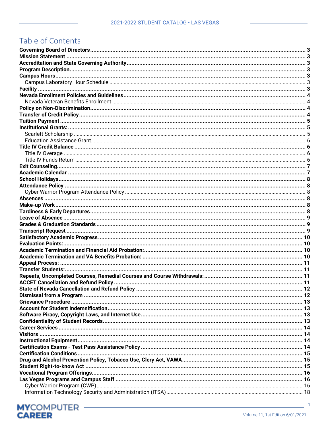# Table of Contents

 $\overline{1}$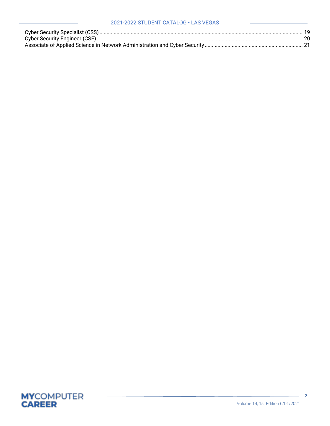#### 2021-2022 STUDENT CATALOG • LAS VEGAS

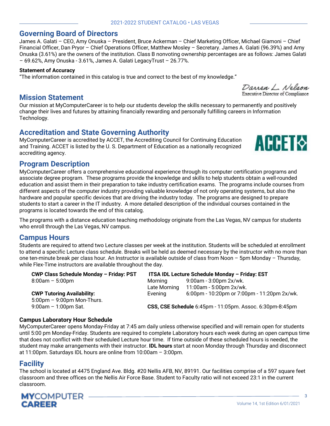James A. Galati – CEO, Amy Onuska – President, Bruce Ackerman – Chief Marketing Officer, Michael Giamoni – Chief Financial Officer, Dan Pryor – Chief Operations Officer, Matthew Mosley – Secretary. James A. Galati (96.39%) and Amy Onuska (3.61%) are the owners of the institution. Class B nonvoting ownership percentages are as follows: James Galati

### <span id="page-4-0"></span>**Governing Board of Directors**

### **Statement of Accuracy**

"The information contained in this catalog is true and correct to the best of my knowledge."

### <span id="page-4-1"></span>**Mission Statement**

Our mission at MyComputerCareer is to help our students develop the skills necessary to permanently and positively change their lives and futures by attaining financially rewarding and personally fulfilling careers in Information Technology.

### <span id="page-4-2"></span>**Accreditation and State Governing Authority**

– 69.62%, Amy Onuska - 3.61%, James A. Galati LegacyTrust – 26.77%.

MyComputerCareer is accredited by ACCET, the Accrediting Council for Continuing Education and Training. ACCET is listed by the U. S. Department of Education as a nationally recognized accrediting agency.

### <span id="page-4-3"></span>**Program Description**

MyComputerCareer offers a comprehensive educational experience through its computer certification programs and associate degree program. These programs provide the knowledge and skills to help students obtain a well-rounded education and assist them in their preparation to take industry certification exams. The programs include courses from different aspects of the computer industry providing valuable knowledge of not only operating systems, but also the hardware and popular specific devices that are driving the industry today. The programs are designed to prepare students to start a career in the IT industry. A more detailed description of the individual courses contained in the programs is located towards the end of this catalog.

The programs with a distance education teaching methodology originate from the Las Vegas, NV campus for students who enroll through the Las Vegas, NV campus.

### <span id="page-4-4"></span>**Campus Hours**

Students are required to attend two Lecture classes per week at the institution. Students will be scheduled at enrollment to attend a specific Lecture class schedule. Breaks will be held as deemed necessary by the instructor with no more than one ten-minute break per class hour. An Instructor is available outside of class from Noon – 5pm Monday – Thursday, while Flex-Time instructors are available throughout the day.

| CWP Class Schedule Monday - Friday: PST      | ITSA IDL Lecture Schedule Monday - Friday: EST |                                                          |  |
|----------------------------------------------|------------------------------------------------|----------------------------------------------------------|--|
| $8:00am - 5:00pm$                            | Morning                                        | 9:00am - 3:00pm 2x/wk.                                   |  |
|                                              | Late Morning                                   | 11:00am - 5:00pm 2x/wk.                                  |  |
| <b>CWP Tutoring Availability:</b>            | Evening                                        | 6:00pm - 10:20pm or 7:00pm - 11:20pm 2x/wk.              |  |
| $5:00 \text{pm} - 9:00 \text{pm}$ Mon-Thurs. |                                                |                                                          |  |
| $9:00$ am - 1:00pm Sat.                      |                                                | CSS, CSE Schedule 6:45pm - 11:05pm. Assoc. 6:30pm-8:45pm |  |

#### <span id="page-4-5"></span>**Campus Laboratory Hour Schedule**

MyComputerCareer opens Monday-Friday at 7:45 am daily unless otherwise specified and will remain open for students until 5:00 pm Monday-Friday. Students are required to complete Laboratory hours each week during an open campus time that does not conflict with their scheduled Lecture hour time. If time outside of these scheduled hours is needed, the student may make arrangements with their instructor. **IDL hours** start at noon Monday through Thursday and disconnect at 11:00pm. Saturdays IDL hours are online from 10:00am – 3:00pm.

### <span id="page-4-6"></span>**Facility**

The school is located at 4475 England Ave. Bldg. #20 Nellis AFB, NV, 89191. Our facilities comprise of a 597 square feet classroom and three offices on the Nellis Air Force Base. Student to Faculty ratio will not exceed 23:1 in the current classroom.





Darren L. Nelson Executive Director of Compliance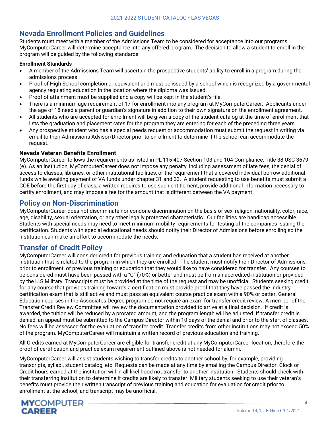### <span id="page-5-0"></span>**Nevada Enrollment Policies and Guidelines**

Students must meet with a member of the Admissions Team to be considered for acceptance into our programs. MyComputerCareer will determine acceptance into any offered program. The decision to allow a student to enroll in the program will be guided by the following standards:

#### **Enrollment Standards**

- A member of the Admissions Team will ascertain the prospective students' ability to enroll in a program during the admissions process.
- Proof of High School completion or equivalent and must be issued by a school which is recognized by a governmental agency regulating education in the location where the diploma was issued.
- Proof of attainment must be supplied and a copy will be kept in the student's file.
- There is a minimum age requirement of 17 for enrollment into any program at MyComputerCareer. Applicants under the age of 18 need a parent or guardian's signature in addition to their own signature on the enrollment agreement.
- All students who are accepted for enrollment will be given a copy of the student catalog at the time of enrollment that lists the graduation and placement rates for the program they are entering for each of the preceding three years.
- Any prospective student who has a special needs request or accommodation must submit the request in writing via email to their Admissions Advisor/Director prior to enrollment to determine if the school can accommodate the request.

#### <span id="page-5-1"></span>**Nevada Veteran Benefits Enrollment**

MyComputerCareer follows the requirements as listed in PL 115-407 Section 103 and 104 Compliance: Title 38 USC 3679 (e). As an institution, MyComputerCareer does not impose any penalty, including assessment of late fees, the denial of access to classes, libraries, or other institutional facilities, or the requirement that a covered individual borrow additional funds while awaiting payment of VA funds under chapter 31 and 33. A student requesting to use benefits must submit a COE before the first day of class, a written requires to use such entitlement, provide additional information necessary to certify enrollment, and may impose a fee for the amount that is different between the VA payment

### <span id="page-5-2"></span>**Policy on Non-Discrimination**

MyComputerCareer does not discriminate nor condone discrimination on the basis of sex, religion, nationality, color, race, age, disability, sexual orientation, or any other legally protected characteristic. Our facilities are handicap accessible. Students with special needs may need to meet minimum mobility requirements for testing of the companies issuing the certification. Students with special educational needs should notify their Director of Admissions before enrolling so the institution can make an effort to accommodate the needs.

### <span id="page-5-3"></span>**Transfer of Credit Policy**

MyComputerCareer will consider credit for previous training and education that a student has received at another institution that is related to the program in which they are enrolled. The student must notify their Director of Admissions, prior to enrollment, of previous training or education that they would like to have considered for transfer. Any courses to be considered must have been passed with a "C" (70%) or better and must be from an accredited institution or provided by the U.S Military. Transcripts must be provided at the time of the request and may be unofficial. Students seeking credit for any course that provides training towards a certification must provide proof that they have passed the Industry certification exam that is still active and must pass an equivalent course practice exam with a 90% or better. General Education courses in the Associates Degree program do not require an exam for transfer credit review. A member of the Transfer Credit Review Committee will review the documentation provided to arrive at a final decision. If credit is awarded, the tuition will be reduced by a prorated amount, and the program length will be adjusted. If transfer credit is denied, an appeal must be submitted to the Campus Director within 10 days of the denial and prior to the start of classes. No fees will be assessed for the evaluation of transfer credit. Transfer credits from other institutions may not exceed 50% of the program. MyComputerCareer will maintain a written record of previous education and training,

All Credits earned at MyComputerCareer are eligible for transfer credit at any MyComputerCareer location, therefore the proof of certification and practice exam requirement outlined above is not needed for alumni.

MyComputerCareer will assist students wishing to transfer credits to another school by, for example, providing transcripts, syllabi, student catalog, etc. Requests can be made at any time by emailing the Campus Director. Clock or Credit hours earned at the institution will in all likelihood not transfer to another institution. Students should check with their transferring institution to determine if credits are likely to transfer. Military students seeking to use their veteran's benefits must provide their written transcript of previous training and education for evaluation for credit prior to enrollment at the school, and transcript may be unofficial.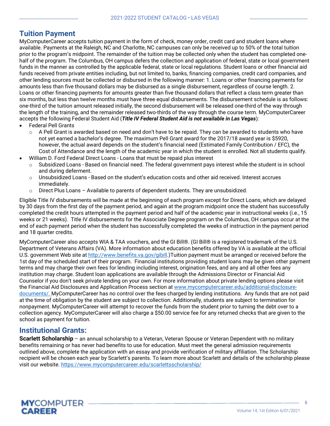### <span id="page-6-0"></span>**Tuition Payment**

MyComputerCareer accepts tuition payment in the form of check, money order, credit card and student loans where available. Payments at the Raleigh, NC and Charlotte, NC campuses can only be received up to 50% of the total tuition prior to the program's midpoint. The remainder of the tuition may be collected only when the student has completed onehalf of the program. The Columbus, OH campus defers the collection and application of federal, state or local government funds in the manner as controlled by the applicable federal, state or local regulations. Student loans or other financial aid funds received from private entities including, but not limited to, banks, financing companies, credit card companies, and other lending sources must be collected or disbursed in the following manner: 1. Loans or other financing payments for amounts less than five thousand dollars may be disbursed as a single disbursement, regardless of course length. 2. Loans or other financing payments for amounts greater than five thousand dollars that reflect a class term greater than six months, but less than twelve months must have three equal disbursements. The disbursement schedule is as follows: one-third of the tuition amount released initially, the second disbursement will be released one-third of the way through the length of the training, and the remainder released two-thirds of the way through the course term. MyComputerCareer accepts the following Federal Student Aid (*Title IV Federal Student Aid is not available in Las Vegas*):

- Federal Pell Grants
	- $\circ$  A Pell Grant is awarded based on need and don't have to be repaid. They can be awarded to students who have not yet earned a bachelor's degree. The maximum Pell Grant award for the 2017/18 award year is \$5920, however, the actual award depends on the student's financial need (Estimated Family Contribution / EFC), the Cost of Attendance and the length of the academic year in which the student is enrolled. Not all students qualify.
	- William D. Ford Federal Direct Loans Loans that must be repaid plus interest
	- o Subsidized Loans Based on financial need. The federal government pays interest while the student is in school and during deferment.
	- $\circ$  Unsubsidized Loans Based on the student's education costs and other aid received. Interest accrues immediately.
	- $\circ$  Direct Plus Loans Available to parents of dependent students. They are unsubsidized.

Eligible Title IV disbursements will be made at the beginning of each program except for Direct Loans, which are delayed by 30 days from the first day of the payment period, and again at the program midpoint once the student has successfully completed the credit hours attempted in the payment period and half of the academic year in instructional weeks (i.e., 15 weeks or 21 weeks). Title IV disbursements for the Associate Degree program on the Columbus, OH campus occur at the end of each payment period when the student has successfully completed the weeks of instruction in the payment period and 18 quarter credits.

MyComputerCareer also accepts WIA & TAA vouchers, and the GI Bill®. (GI Bill® is a registered trademark of the U.S. Department of Veterans Affairs (VA). More information about education benefits offered by VA is available at the official U.S. government Web site at http://www.benefits.va.gov/gibill.)Tuition payment must be arranged or received before the 1st day of the scheduled start of their program. Financial institutions providing student loans may be given other payment terms and may charge their own fees for lending including interest, origination fees, and any and all other fees any institution may charge. Student loan applications are available through the Admissions Director or Financial Aid Counselor if you don't seek private lending on your own. For more information about private lending options please visit the Financial Aid Disclosures and Application Process section at www.mycomputercareer.edu/additional-disclosuredocuments/. MyComputerCareer has no control over the fees charged by lending institutions. Any funds that are not paid at the time of obligation by the student are subject to collection. Additionally, students are subject to termination for nonpayment. MyComputerCareer will attempt to recover the funds from the student prior to turning the debt over to a collection agency. MyComputerCareer will also charge a \$50.00 service fee for any returned checks that are given to the school as payment for tuition.

### <span id="page-6-1"></span>**Institutional Grants:**

<span id="page-6-2"></span>**Scarlett Scholarship** – an annual scholarship to a Veteran, Veteran Spouse or Veteran Dependent with no military benefits remaining or has never had benefits to use for education. Must meet the general admission requirements outlined above, complete the application with an essay and provide verification of military affiliation. The Scholarship recipient will be chosen each year by Scarlett's parents. To learn more about Scarlett and details of the scholarship please visit our website. https://www.mycomputercareer.edu/scarlettsscholarship/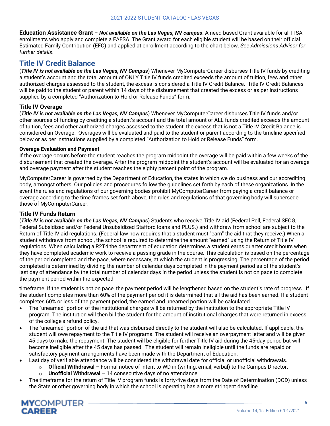<span id="page-7-0"></span>**Education Assistance Grant** – *Not available on the Las Vegas, NV campus*. A need-based Grant available for all ITSA enrollments who apply and complete a FAFSA. The Grant award for each eligible student will be based on their official Estimated Family Contribution (EFC) and applied at enrollment according to the chart below. *See Admissions Advisor for further details*.

### <span id="page-7-1"></span>**Title IV Credit Balance**

(*Title IV is not available on the Las Vegas, NV Campus*) Whenever MyComputerCareer disburses Title IV funds by crediting a student's account and the total amount of ONLY Title IV funds credited exceeds the amount of tuition, fees and other authorized charges assessed to the student, the excess is considered a Title IV Credit Balance. Title IV Credit Balances will be paid to the student or parent within 14 days of the disbursement that created the excess or as per instructions supplied by a completed "Authorization to Hold or Release Funds" form.

#### <span id="page-7-2"></span>**Title IV Overage**

(*Title IV is not available on the Las Vegas, NV Campus*) Whenever MyComputerCareer disburses Title IV funds and/or other sources of funding by crediting a student's account and the total amount of ALL funds credited exceeds the amount of tuition, fees and other authorized charges assessed to the student, the excess that is not a Title IV Credit Balance is considered an Overage. Overages will be evaluated and paid to the student or parent according to the timeline specified below or as per instructions supplied by a completed "Authorization to Hold or Release Funds" form.

#### **Overage Evaluation and Payment**

If the overage occurs before the student reaches the program midpoint the overage will be paid within a few weeks of the disbursement that created the overage. After the program midpoint the student's account will be evaluated for an overage and overage payment after the student reaches the eighty percent point of the program.

MyComputerCareer is governed by the Department of Education, the states in which we do business and our accrediting body, amongst others. Our policies and procedures follow the guidelines set forth by each of these organizations. In the event the rules and regulations of our governing bodies prohibit MyComputerCareer from paying a credit balance or overage according to the time frames set forth above, the rules and regulations of that governing body will supersede those of MyComputerCareer.

#### <span id="page-7-3"></span>**Title IV Funds Return**

(*Title IV is not available on the Las Vegas, NV Campus*) Students who receive Title IV aid (Federal Pell, Federal SEOG, Federal Subsidized and/or Federal Unsubsidized Stafford loans and PLUS.) and withdraw from school are subject to the Return of Title IV aid regulations. (Federal law now requires that a student must "earn" the aid that they receive.) When a student withdraws from school, the school is required to determine the amount "earned" using the Return of Title IV regulations. When calculating a R2T4 the department of education determines a student earns quarter credit hours when they have completed academic work to receive a passing grade in the course. This calculation is based on the percentage of the period completed and the pace, where necessary, at which the student is progressing. The percentage of the period completed is determined by dividing the number of calendar days completed in the payment period as of the student's last day of attendance by the total number of calendar days in the period unless the student is not on pace to complete the payment period within the expected

timeframe. If the student is not on pace, the payment period will be lengthened based on the student's rate of progress. If the student completes more than 60% of the payment period it is determined that all the aid has been earned. If a student completes 60% or less of the payment period, the earned and unearned portion will be calculated.

- The "unearned" portion of the institutional charges will be returned by the institution to the appropriate Title IV program. The institution will then bill the student for the amount of institutional charges that were returned in excess of the college's refund policy.
- The "unearned" portion of the aid that was disbursed directly to the student will also be calculated. If applicable, the student will owe repayment to the Title IV programs. The student will receive an overpayment letter and will be given 45 days to make the repayment. The student will be eligible for further Title IV aid during the 45-day period but will become ineligible after the 45 days has passed. The student will remain ineligible until the funds are repaid or satisfactory payment arrangements have been made with the Department of Education.
- Last day of verifiable attendance will be considered the withdrawal date for official or unofficial withdrawals.
	- o **Official Withdrawal** Formal notice of intent to WD in (writing, email, verbal) to the Campus Director.
		- **Unofficial Withdrawal** 14 consecutive days of no attendance.
- The timeframe for the return of Title IV program funds is forty-five days from the Date of Determination (DOD) unless the State or other governing body in which the school is operating has a more stringent deadline.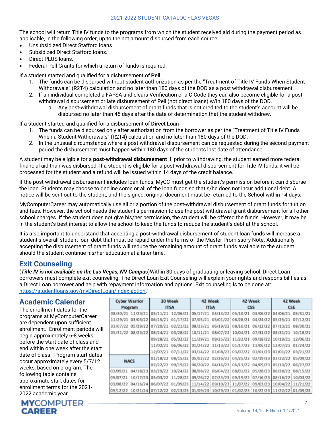The school will return Title IV funds to the programs from which the student received aid during the payment period as applicable, in the following order, up to the net amount disbursed from each source:

- Unsubsidized Direct Stafford loans
- Subsidized Direct Stafford loans.
- Direct PLUS loans.
- Federal Pell Grants for which a return of funds is required.

If a student started and qualified for a disbursement of **Pell**:

- 1. The funds can be disbursed without student authorization as per the "Treatment of Title IV Funds When Student Withdrawals" (R2T4) calculation and no later than 180 days of the DOD as a post withdrawal disbursement.
- 2. If an individual completed a FAFSA and clears Verification or a C Code they can also become eligible for a post withdrawal disbursement or late disbursement of Pell (not direct loans) w/in 180 days of the DOD.
	- a. Any post-withdrawal disbursement of grant funds that is not credited to the student's account will be disbursed no later than 45 days after the date of determination that the student withdrew.

If a student started and qualified for a disbursement of **Direct Loan**

- 1. The funds can be disbursed only after authorization from the borrower as per the "Treatment of Title IV Funds When a Student Withdrawals" (R2T4) calculation and no later than 180 days of the DOD.
- 2. In the unusual circumstance where a post withdrawal disbursement can be requested during the second payment period the disbursement must happen within 180 days of the students last date of attendance.

A student may be eligible for a **post-withdrawal disbursement** if, prior to withdrawing, the student earned more federal financial aid than was disbursed. If a student is eligible for a post-withdrawal disbursement for Title IV funds, it will be processed for the student and a refund will be issued within 14 days of the credit balance.

If the post-withdrawal disbursement includes loan funds, MyCC must get the student's permission before it can disburse the loan. Students may choose to decline some or all of the loan funds so that s/he does not incur additional debt. A notice will be sent out to the student, and the signed, original document must be returned to the School within 14 days.

MyComputerCareer may automatically use all or a portion of the post-withdrawal disbursement of grant funds for tuition and fees. However, the school needs the student's permission to use the post-withdrawal grant disbursement for all other school charges. If the student does not give his/her permission, the student will be offered the funds. However, it may be in the student's best interest to allow the school to keep the funds to reduce the student's debt at the school.

It is also important to understand that accepting a post-withdrawal disbursement of student loan funds will increase a student's overall student loan debt that must be repaid under the terms of the Master Promissory Note. Additionally, accepting the disbursement of grant funds will reduce the remaining amount of grant funds available to the student should the student continue his/her education at a later time.

### <span id="page-8-0"></span>**Exit Counseling**

(*Title IV is not available on the Las Vegas, NV Campus*)Within 30 days of graduating or leaving school, Direct Loan borrowers must complete exit counseling. The Direct Loan Exit Counseling will explain your rights and responsibilities as a Direct Loan borrower and help with repayment information and options. Exit counseling is to be done at: [https://studentloans.gov/myDirectLoan/index.action.](https://studentloans.gov/myDirectLoan/index.action)

### <span id="page-8-1"></span>**Academic Calendar**

The enrollment dates for the programs at MyComputerCareer are dependent upon sufficient enrollment. Enrollment periods will begin approximately 6-8 weeks before the start date of class and end within one week after the start date of class. Program start dates occur approximately every 5/7/12 weeks, based on program. The following table contains approximate start dates for enrollment terms for the 2021- 2022 academic year.

# **CAREER**

| <b>Cyber Warrior</b> |             | 30 Week                             |                                                                                  | 42 Week  |                                              |                   |            |                                                       | 42 Week  |  | 42 Week |
|----------------------|-------------|-------------------------------------|----------------------------------------------------------------------------------|----------|----------------------------------------------|-------------------|------------|-------------------------------------------------------|----------|--|---------|
|                      | Program     |                                     | <b>ITSA</b>                                                                      |          | <b>ITSA</b>                                  |                   | <b>CSS</b> | <b>CSE</b>                                            |          |  |         |
|                      |             | 08/30/21 11/24/21 05/11/21 12/06/21 |                                                                                  |          | 05/17/21 03/13/22                            | 05/10/21          |            | 03/06/22 04/06/21                                     | 05/31/21 |  |         |
| 11/29/21             |             | 03/03/22 06/15/21                   | 01/17/22                                                                         | 07/05/21 | 05/01/22                                     | 06/28/21          |            | 04/24/22 05/25/21                                     | 07/12/21 |  |         |
|                      |             | 03/07/22 05/29/22 07/20/21 02/21/22 |                                                                                  |          | 08/23/21 06/19/22 08/16/21                   |                   |            | 06/12/22 07/13/21                                     | 08/30/21 |  |         |
| 05/31/22             | 08/23/22    | 08/24/21                            | 03/28/22                                                                         | 10/11/21 |                                              | 08/07/22 10/04/21 |            | 07/31/22 08/31/21                                     | 10/18/21 |  |         |
|                      |             |                                     | 09/28/21 05/02/22                                                                |          | 11/29/21 09/25/22 11/22/21                   |                   |            | 09/18/22 10/19/21 12/06/21                            |          |  |         |
|                      |             | 11/02/21                            | 06/06/22                                                                         |          | 01/24/22 11/13/22 01/17/22 11/06/22 12/07/21 |                   |            |                                                       | 01/24/22 |  |         |
|                      |             |                                     | 12/07/21 07/11/22                                                                |          | 03/14/22 01/08/23                            |                   |            | 03/07/22 01/01/23 02/01/22 03/21/22                   |          |  |         |
|                      | <b>NACS</b> | 01/18/22 08/15/22                   |                                                                                  |          | 05/02/22 02/26/23                            |                   |            | 04/25/22 02/19/23 03/22/22                            | 05/09/22 |  |         |
|                      |             | 02/22/22 09/19/22                   |                                                                                  |          | 06/20/22 04/16/23                            |                   |            | 06/13/22 04/09/23 05/10/22                            | 06/27/22 |  |         |
| 03/09/21             | 04/18/23    | 03/29/22 10/24/22                   |                                                                                  |          | 08/08/22 06/04/23                            | 08/01/22          |            | 05/28/23 06/28/22                                     | 08/15/22 |  |         |
| 09/07/21             |             | 10/17/23 05/03/22 11/28/22          |                                                                                  |          |                                              |                   |            | 09/26/22 07/23/23 09/19/22 07/16/23 08/16/22 10/03/22 |          |  |         |
| 03/08/22             |             | 04/16/24 06/07/22 01/09/23          |                                                                                  | 11/14/22 | 09/10/23 11/07/22                            |                   |            | 09/03/23 10/04/22 11/21/22                            |          |  |         |
| 09/12/22             |             |                                     | 10/21/24 07/12/22 02/13/23 01/09/23 10/29/23 01/02/23 10/22/23 11/22/22 01/09/23 |          |                                              |                   |            |                                                       |          |  |         |

7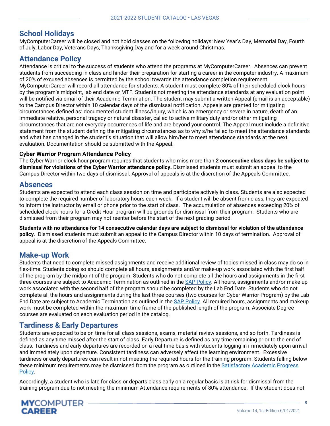### <span id="page-9-0"></span>**School Holidays**

MyComputerCareer will be closed and not hold classes on the following holidays: New Year's Day, Memorial Day, Fourth of July, Labor Day, Veterans Days, Thanksgiving Day and for a week around Christmas.

### <span id="page-9-1"></span>**Attendance Policy**

Attendance is critical to the success of students who attend the programs at MyComputerCareer. Absences can prevent students from succeeding in class and hinder their preparation for starting a career in the computer industry. A maximum of 20% of excused absences is permitted by the school towards the attendance completion requirement. MyComputerCareer will record all attendance for students. A student must complete 80% of their scheduled clock hours by the program's midpoint, lab end date or MTF. Students not meeting the attendance standards at any evaluation point will be notified via email of their Academic Termination. The student may submit a written Appeal (email is an acceptable) to the Campus Director within 10 calendar days of the dismissal notification. Appeals are granted for mitigating circumstances defined as: documented student illness/injury, which is an emergency or severe in nature, death of an immediate relative, personal tragedy or natural disaster, called to active military duty and/or other mitigating circumstances that are not everyday occurrences of life and are beyond your control. The Appeal must include a definitive statement from the student defining the mitigating circumstances as to why s/he failed to meet the attendance standards and what has changed in the student's situation that will allow him/her to meet attendance standards at the next evaluation. Documentation should be submitted with the Appeal.

#### <span id="page-9-2"></span>**Cyber Warrior Program Attendance Policy**

The Cyber Warrior clock hour program requires that students who miss more than **2 consecutive class days be subject to dismissal for violations of the Cyber Warrior attendance policy.** Dismissed students must submit an appeal to the Campus Director within two days of dismissal. Approval of appeals is at the discretion of the Appeals Committee.

### <span id="page-9-3"></span>**Absences**

Students are expected to attend each class session on time and participate actively in class. Students are also expected to complete the required number of laboratory hours each week. If a student will be absent from class, they are expected to inform the instructor by email or phone prior to the start of class. The accumulation of absences exceeding 20% of scheduled clock hours for a Credit Hour program will be grounds for dismissal from their program. Students who are dismissed from their program may not reenter before the start of the next grading period.

**Students with no attendance for 14 consecutive calendar days are subject to dismissal for violation of the attendance policy**. Dismissed students must submit an appeal to the Campus Director within 10 days of termination. Approval of appeal is at the discretion of the Appeals Committee.

### <span id="page-9-4"></span>**Make-up Work**

Students that need to complete missed assignments and receive additional review of topics missed in class may do so in flex-time. Students doing so should complete all hours, assignments and/or make-up work associated with the first half of the program by the midpoint of the program. Students who do not complete all the hours and assignments in the first three courses are subject to Academic Termination as outlined in th[e SAP Policy.](#page-11-0) All hours, assignments and/or make-up work associated with the second half of the program should be completed by the Lab End Date. Students who do not complete all the hours and assignments during the last three courses (two courses for Cyber Warrior Program) by the Lab End Date are subject to Academic Termination as outlined in the [SAP Policy.](#page-11-0) All required hours, assignments and makeup work must be completed within the maximum time frame of the published length of the program. Associate Degree courses are evaluated on each evaluation period in the catalog.

### <span id="page-9-5"></span>**Tardiness & Early Departures**

Students are expected to be on time for all class sessions, exams, material review sessions, and so forth. Tardiness is defined as any time missed after the start of class. Early Departure is defined as any time remaining prior to the end of class. Tardiness and early departures are recorded on a real-time basis with students logging in immediately upon arrival and immediately upon departure. Consistent tardiness can adversely affect the learning environment. Excessive tardiness or early departures can result in not meeting the required hours for the training program. Students falling below these minimum requirements may be dismissed from the program as outlined in the [Satisfactory Academic Progress](#page-11-0)  [Policy.](#page-11-0)

Accordingly, a student who is late for class or departs class early on a regular basis is at risk for dismissal from the training program due to not meeting the minimum Attendance requirements of 80% attendance. If the student does not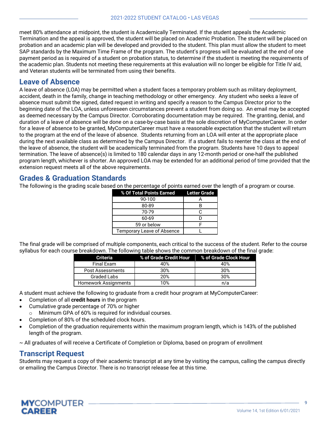meet 80% attendance at midpoint, the student is Academically Terminated. If the student appeals the Academic Termination and the appeal is approved, the student will be placed on Academic Probation. The student will be placed on probation and an academic plan will be developed and provided to the student. This plan must allow the student to meet SAP standards by the Maximum Time Frame of the program. The student's progress will be evaluated at the end of one payment period as is required of a student on probation status, to determine if the student is meeting the requirements of the academic plan. Students not meeting these requirements at this evaluation will no longer be eligible for Title IV aid, and Veteran students will be terminated from using their benefits.

### <span id="page-10-0"></span>**Leave of Absence**

A leave of absence (LOA) may be permitted when a student faces a temporary problem such as military deployment, accident, death in the family, change in teaching methodology or other emergency. Any student who seeks a leave of absence must submit the signed, dated request in writing and specify a reason to the Campus Director prior to the beginning date of the LOA, unless unforeseen circumstances prevent a student from doing so. An email may be accepted as deemed necessary by the Campus Director. Corroborating documentation may be required. The granting, denial, and duration of a leave of absence will be done on a case-by-case basis at the sole discretion of MyComputerCareer. In order for a leave of absence to be granted, MyComputerCareer must have a reasonable expectation that the student will return to the program at the end of the leave of absence. Students returning from an LOA will enter at the appropriate place during the next available class as determined by the Campus Director. If a student fails to reenter the class at the end of the leave of absence, the student will be academically terminated from the program. Students have 10 days to appeal termination. The leave of absence(s) is limited to 180 calendar days in any 12-month period or one-half the published program length, whichever is shorter. An approved LOA may be extended for an additional period of time provided that the extension request meets all of the above requirements.

### <span id="page-10-1"></span>**Grades & Graduation Standards**

The following is the grading scale based on the percentage of points earned over the length of a program or course.

| % Of Total Points Earned Letter Grade |  |
|---------------------------------------|--|
| 90-100                                |  |
| 80-89                                 |  |
| 70-79                                 |  |
| 60-69                                 |  |
| 59 or below                           |  |
| <b>Temporary Leave of Absence</b>     |  |

The final grade will be comprised of multiple components, each critical to the success of the student. Refer to the course syllabus for each course breakdown. The following table shows the common breakdown of the final grade:

| <b>Criteria</b>             | % of Grade Credit Hour % of Grade Clock Hour |     |
|-----------------------------|----------------------------------------------|-----|
| Final Exam                  | 40%                                          | 40% |
| Post Assessments            | 30%                                          | 30% |
| <b>Graded Labs</b>          | 20%                                          | 30% |
| <b>Homework Assignments</b> | 10%                                          | n/a |

A student must achieve the following to graduate from a credit hour program at MyComputerCareer:

- Completion of all **credit hours** in the program
- Cumulative grade percentage of 70% or higher
	- o Minimum GPA of 60% is required for individual courses.
- Completion of 80% of the scheduled clock hours.
- Completion of the graduation requirements within the maximum program length, which is 143% of the published length of the program.

~ All graduates of will receive a Certificate of Completion or Diploma, based on program of enrollment

### <span id="page-10-2"></span>**Transcript Request**

Students may request a copy of their academic transcript at any time by visiting the campus, calling the campus directly or emailing the Campus Director. There is no transcript release fee at this time.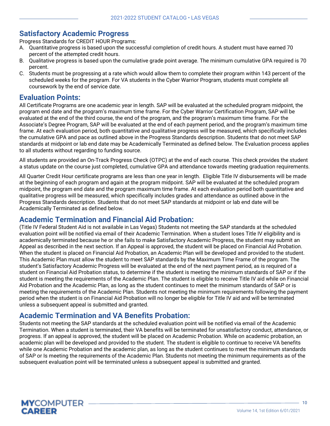### <span id="page-11-0"></span>**Satisfactory Academic Progress**

Progress Standards for CREDIT HOUR Programs:

- A. Quantitative progress is based upon the successful completion of credit hours. A student must have earned 70 percent of the attempted credit hours.
- B. Qualitative progress is based upon the cumulative grade point average. The minimum cumulative GPA required is 70 percent.
- C. Students must be progressing at a rate which would allow them to complete their program within 143 percent of the scheduled weeks for the program. For VA students in the Cyber Warrior Program, students must complete all coursework by the end of service date.

### <span id="page-11-1"></span>**Evaluation Points:**

All Certificate Programs are one academic year in length. SAP will be evaluated at the scheduled program midpoint, the program end date and the program's maximum time frame. For the Cyber Warrior Certification Program, SAP will be evaluated at the end of the third course, the end of the program, and the program's maximum time frame. For the Associate's Degree Program, SAP will be evaluated at the end of each payment period, and the program's maximum time frame. At each evaluation period, both quantitative and qualitative progress will be measured, which specifically includes the cumulative GPA and pace as outlined above in the Progress Standards description. Students that do not meet SAP standards at midpoint or lab end date may be Academically Terminated as defined below. The Evaluation process applies to all students without regarding to funding source.

All students are provided an On-Track Progress Check (OTPC) at the end of each course. This check provides the student a status update on the course just completed, cumulative GPA and attendance towards meeting graduation requirements.

All Quarter Credit Hour certificate programs are less than one year in length. Eligible Title IV disbursements will be made at the beginning of each program and again at the program midpoint. SAP will be evaluated at the scheduled program midpoint, the program end date and the program maximum time frame. At each evaluation period both quantitative and qualitative progress will be measured, which specifically includes grades and attendance as outlined above in the Progress Standards description. Students that do not meet SAP standards at midpoint or lab end date will be Academically Terminated as defined below.

### <span id="page-11-2"></span>**Academic Termination and Financial Aid Probation:**

(Title IV Federal Student Aid is not available in Las Vegas) Students not meeting the SAP standards at the scheduled evaluation point will be notified via email of their Academic Termination. When a student loses Title IV eligibility and is academically terminated because he or she fails to make Satisfactory Academic Progress, the student may submit an Appeal as described in the next section. If an Appeal is approved, the student will be placed on Financial Aid Probation. When the student is placed on Financial Aid Probation, an Academic Plan will be developed and provided to the student. This Academic Plan must allow the student to meet SAP standards by the Maximum Time Frame of the program. The student's Satisfactory Academic Progress will be evaluated at the end of the next payment period, as is required of a student on Financial Aid Probation status, to determine if the student is meeting the minimum standards of SAP or if the student is meeting the requirements of the Academic Plan. The student is eligible to receive Title IV aid while on Financial Aid Probation and the Academic Plan, as long as the student continues to meet the minimum standards of SAP or is meeting the requirements of the Academic Plan. Students not meeting the minimum requirements following the payment period when the student is on Financial Aid Probation will no longer be eligible for Title IV aid and will be terminated unless a subsequent appeal is submitted and granted.

### <span id="page-11-3"></span>**Academic Termination and VA Benefits Probation:**

Students not meeting the SAP standards at the scheduled evaluation point will be notified via email of the Academic Termination. When a student is terminated, their VA benefits will be terminated for unsatisfactory conduct, attendance, or progress. If an appeal is approved, the student will be placed on Academic Probation. While on academic probation, an academic plan will be developed and provided to the student. The student is eligible to continue to receive VA benefits while one Academic Probation and the academic plan, as long as the student continues to meet the minimum standards of SAP or Is meeting the requirements of the Academic Plan. Students not meeting the minimum requirements as of the subsequent evaluation point will be terminated unless a subsequent appeal is submitted and granted.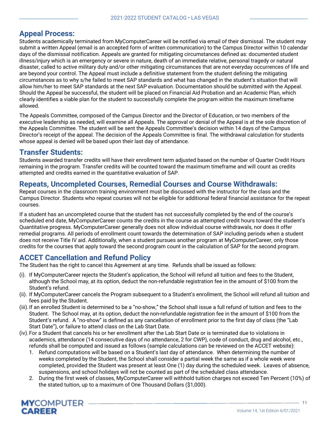### <span id="page-12-0"></span>**Appeal Process:**

Students academically terminated from MyComputerCareer will be notified via email of their dismissal. The student may submit a written Appeal (email is an accepted form of written communication) to the Campus Director within 10 calendar days of the dismissal notification. Appeals are granted for mitigating circumstances defined as: documented student illness/injury which is an emergency or severe in nature, death of an immediate relative, personal tragedy or natural disaster, called to active military duty and/or other mitigating circumstances that are not everyday occurrences of life and are beyond your control. The Appeal must include a definitive statement from the student defining the mitigating circumstances as to why s/he failed to meet SAP standards and what has changed in the student's situation that will allow him/her to meet SAP standards at the next SAP evaluation. Documentation should be submitted with the Appeal. Should the Appeal be successful, the student will be placed on Financial Aid Probation and an Academic Plan, which clearly identifies a viable plan for the student to successfully complete the program within the maximum timeframe allowed.

The Appeals Committee, composed of the Campus Director and the Director of Education, or two members of the executive leadership as needed, will examine all Appeals. The approval or denial of the Appeal is at the sole discretion of the Appeals Committee. The student will be sent the Appeals Committee's decision within 14 days of the Campus Director's receipt of the appeal. The decision of the Appeals Committee is final. The withdrawal calculation for students whose appeal is denied will be based upon their last day of attendance.

### <span id="page-12-1"></span>**Transfer Students:**

Students awarded transfer credits will have their enrollment term adjusted based on the number of Quarter Credit Hours remaining in the program. Transfer credits will be counted toward the maximum timeframe and will count as credits attempted and credits earned in the quantitative evaluation of SAP.

### <span id="page-12-2"></span>**Repeats, Uncompleted Courses, Remedial Courses and Course Withdrawals:**

Repeat courses in the classroom training environment must be discussed with the instructor for the class and the Campus Director. Students who repeat courses will not be eligible for additional federal financial assistance for the repeat courses.

If a student has an uncompleted course that the student has not successfully completed by the end of the course's scheduled end date, MyComputerCareer counts the credits in the course as attempted credit hours toward the student's Quantitative progress. MyComputerCareer generally does not allow individual course withdrawals, nor does it offer remedial programs. All periods of enrollment count towards the determination of SAP including periods when a student does not receive Title IV aid. Additionally, when a student pursues another program at MyComputerCareer, only those credits for the courses that apply toward the second program count in the calculation of SAP for the second program.

### <span id="page-12-3"></span>**ACCET Cancellation and Refund Policy**

The Student has the right to cancel this Agreement at any time. Refunds shall be issued as follows:

- (i). If MyComputerCareer rejects the Student's application, the School will refund all tuition and fees to the Student, although the School may, at its option, deduct the non-refundable registration fee in the amount of \$100 from the Student's refund.
- (ii). If MyComputerCareer cancels the Program subsequent to a Student's enrollment, the School will refund all tuition and fees paid by the Student.
- (iii).If an enrolled Student is determined to be a "no-show," the School shall issue a full refund of tuition and fees to the Student. The School may, at its option, deduct the non-refundable registration fee in the amount of \$100 from the Student's refund. A "no-show" is defined as any cancellation of enrollment prior to the first day of class (the "Lab Start Date"), or failure to attend class on the Lab Start Date.
- (iv).For a Student that cancels his or her enrollment after the Lab Start Date or is terminated due to violations in academics, attendance (14 consecutive days of no attendance, 2 for CWP), code of conduct, drug and alcohol, etc., refunds shall be computed and issued as follows (sample calculations can be reviewed on the ACCET website):
	- 1. Refund computations will be based on a Student's last day of attendance. When determining the number of weeks completed by the Student, the School shall consider a partial week the same as if a whole week were completed, provided the Student was present at least One (1) day during the scheduled week. Leaves of absence, suspensions, and school holidays will not be counted as part of the scheduled class attendance.
	- 2. During the first week of classes, MyComputerCareer will withhold tuition charges not exceed Ten Percent (10%) of the stated tuition, up to a maximum of One Thousand Dollars (\$1,000).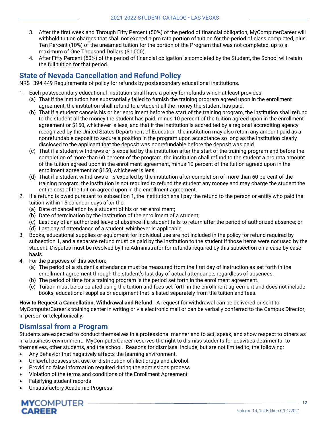- 3. After the first week and Through Fifty Percent (50%) of the period of financial obligation, MyComputerCareer will withhold tuition charges that shall not exceed a pro rata portion of tuition for the period of class completed, plus Ten Percent (10%) of the unearned tuition for the portion of the Program that was not completed, up to a maximum of One Thousand Dollars (\$1,000).
- 4. After Fifty Percent (50%) of the period of financial obligation is completed by the Student, the School will retain the full tuition for that period.

### <span id="page-13-0"></span>**State of Nevada Cancellation and Refund Policy**

NRS 394.449 Requirements of policy for refunds by postsecondary educational institutions.

- 1. Each postsecondary educational institution shall have a policy for refunds which at least provides:
	- (a) That if the institution has substantially failed to furnish the training program agreed upon in the enrollment agreement, the institution shall refund to a student all the money the student has paid.
	- (b) That if a student cancels his or her enrollment before the start of the training program, the institution shall refund to the student all the money the student has paid, minus 10 percent of the tuition agreed upon in the enrollment agreement or \$150, whichever is less, and that if the institution is accredited by a regional accrediting agency recognized by the United States Department of Education, the institution may also retain any amount paid as a nonrefundable deposit to secure a position in the program upon acceptance so long as the institution clearly disclosed to the applicant that the deposit was nonrefundable before the deposit was paid.
	- (c) That if a student withdraws or is expelled by the institution after the start of the training program and before the completion of more than 60 percent of the program, the institution shall refund to the student a pro rata amount of the tuition agreed upon in the enrollment agreement, minus 10 percent of the tuition agreed upon in the enrollment agreement or \$150, whichever is less.
	- (d) That if a student withdraws or is expelled by the institution after completion of more than 60 percent of the training program, the institution is not required to refund the student any money and may charge the student the entire cost of the tuition agreed upon in the enrollment agreement.
- 2. If a refund is owed pursuant to subsection 1, the institution shall pay the refund to the person or entity who paid the tuition within 15 calendar days after the:
	- (a) Date of cancellation by a student of his or her enrollment;
	- (b) Date of termination by the institution of the enrollment of a student;
	- (c) Last day of an authorized leave of absence if a student fails to return after the period of authorized absence; or
	- (d) Last day of attendance of a student, whichever is applicable.
- 3. Books, educational supplies or equipment for individual use are not included in the policy for refund required by subsection 1, and a separate refund must be paid by the institution to the student if those items were not used by the student. Disputes must be resolved by the Administrator for refunds required by this subsection on a case-by-case basis.
- 4. For the purposes of this section:
	- (a) The period of a student's attendance must be measured from the first day of instruction as set forth in the enrollment agreement through the student's last day of actual attendance, regardless of absences.
	- (b) The period of time for a training program is the period set forth in the enrollment agreement.
	- (c) Tuition must be calculated using the tuition and fees set forth in the enrollment agreement and does not include books, educational supplies or equipment that is listed separately from the tuition and fees.

**How to Request a Cancellation, Withdrawal and Refund:** A request for withdrawal can be delivered or sent to MyComputerCareer's training center in writing or via electronic mail or can be verbally conferred to the Campus Director, in person or telephonically.

### <span id="page-13-1"></span>**Dismissal from a Program**

Students are expected to conduct themselves in a professional manner and to act, speak, and show respect to others as in a business environment. MyComputerCareer reserves the right to dismiss students for activities detrimental to themselves, other students, and the school. Reasons for dismissal include, but are not limited to, the following:

- Any Behavior that negatively affects the learning environment.
- Unlawful possession, use, or distribution of illicit drugs and alcohol.
- Providing false information required during the admissions process
- Violation of the terms and conditions of the Enrollment Agreement
- Falsifying student records
- Unsatisfactory Academic Progress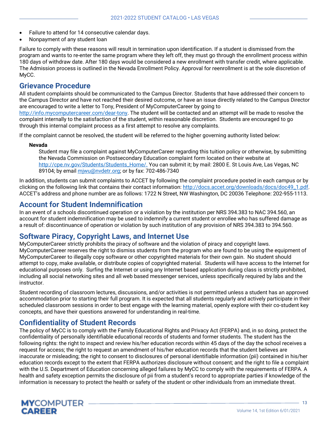- Failure to attend for 14 consecutive calendar days.
- Nonpayment of any student loan

Failure to comply with these reasons will result in termination upon identification. If a student is dismissed from the program and wants to re-enter the same program where they left off, they must go through the enrollment process within 180 days of withdraw date. After 180 days would be considered a new enrollment with transfer credit, where applicable. The Admission process is outlined in the Nevada Enrollment Policy. Approval for reenrollment is at the sole discretion of MyCC.

### <span id="page-14-0"></span>**Grievance Procedure**

All student complaints should be communicated to the Campus Director. Students that have addressed their concern to the Campus Director and have not reached their desired outcome, or have an issue directly related to the Campus Director are encouraged to write a letter to Tony, President of MyComputerCareer by going to

[http://info.mycomputercareer.com/dear-tony.](http://info.mycomputercareer.com/dear-tony) The student will be contacted and an attempt will be made to resolve the complaint internally to the satisfaction of the student, within reasonable discretion. Students are encouraged to go through this internal complaint process as a first attempt to resolve any complaints.

If the complaint cannot be resolved, the student will be referred to the higher governing authority listed below:

#### **Nevada**

Student may file a complaint against MyComputerCareer regarding this tuition policy or otherwise, by submitting the Nevada Commission on Postsecondary Education complaint form located on their website at http://cpe.nv.gov/Students/Students\_Home/. You can submit it; by mail: 2800 E. St Louis Ave, Las Vegas, NC 89104; by email miwu@nvdetr.org; or by fax: 702-486-7340

In addition, students can submit complaints to ACCET by following the complaint procedure posted in each campus or by clicking on the following link that contains their contact information: http://docs.accet.org/downloads/docs/doc49\_1.pdf. ACCET's address and phone number are as follows: 1722 N Street, NW Washington, DC 20036 Telephone: 202-955-1113.

### <span id="page-14-1"></span>**Account for Student Indemnification**

In an event of a schools discontinued operation or a violation by the institution per NRS 394.383 to NAC 394.560, an account for student indemnification may be used to indemnify a current student or enrollee who has suffered damage as a result of: discontinuance of operation or violation by such institution of any provision of NRS 394.383 to 394.560.

### <span id="page-14-2"></span>**Software Piracy, Copyright Laws, and Internet Use**

MyComputerCareer strictly prohibits the piracy of software and the violation of piracy and copyright laws. MyComputerCareer reserves the right to dismiss students from the program who are found to be using the equipment of MyComputerCareer to illegally copy software or other copyrighted materials for their own gain. No student should attempt to copy, make available, or distribute copies of copyrighted material. Students will have access to the Internet for educational purposes only. Surfing the Internet or using any Internet based application during class is strictly prohibited, including all social networking sites and all web based messenger services, unless specifically required by labs and the instructor.

Student recording of classroom lectures, discussions, and/or activities is not permitted unless a student has an approved accommodation prior to starting their full program. It is expected that all students regularly and actively participate in their scheduled classroom sessions in order to best engage with the learning material, openly explore with their co-student key concepts, and have their questions answered for understanding in real-time.

### <span id="page-14-3"></span>**Confidentiality of Student Records**

The policy of MyCC is to comply with the Family Educational Rights and Privacy Act (FERPA) and, in so doing, protect the confidentiality of personally identifiable educational records of students and former students. The student has the following rights: the right to inspect and review his/her education records within 45 days of the day the school receives a request for access; the right to request an amendment of his/her education records that the student believes are inaccurate or misleading; the right to consent to disclosures of personal identifiable information (pii) contained in his/her education records except to the extent that FERPA authorizes disclosure without consent; and the right to file a complaint with the U.S. Department of Education concerning alleged failures by MyCC to comply with the requirements of FERPA. A health and safety exception permits the disclosure of pii from a student's record to appropriate parties if knowledge of the information is necessary to protect the health or safety of the student or other individuals from an immediate threat.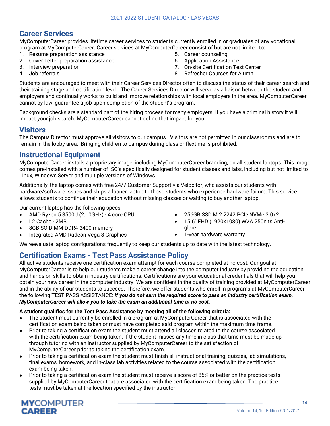### <span id="page-15-0"></span>**Career Services**

MyComputerCareer provides lifetime career services to students currently enrolled in or graduates of any vocational program at MyComputerCareer. Career services at MyComputerCareer consist of but are not limited to:

- 1. Resume preparation assistance
- 2. Cover Letter preparation assistance
- 3. Interview preparation
- 4. Job referrals
- 5. Career counseling
- 6. Application Assistance
- 7. On-site Certification Test Center
- 8. Refresher Courses for Alumni

Students are encouraged to meet with their Career Services Director often to discuss the status of their career search and their training stage and certification level. The Career Services Director will serve as a liaison between the student and employers and continually works to build and improve relationships with local employers in the area. MyComputerCareer cannot by law, guarantee a job upon completion of the student's program.

Background checks are a standard part of the hiring process for many employers. If you have a criminal history it will impact your job search. MyComputerCareer cannot define that impact for you.

### <span id="page-15-1"></span>**Visitors**

The Campus Director must approve all visitors to our campus. Visitors are not permitted in our classrooms and are to remain in the lobby area. Bringing children to campus during class or flextime is prohibited.

### <span id="page-15-2"></span>**Instructional Equipment**

MyComputerCareer installs a proprietary image, including MyComputerCareer branding, on all student laptops. This image comes pre-installed with a number of ISO's specifically designed for student classes and labs, including but not limited to Linux, Windows Server and multiple versions of Windows.

Additionally, the laptop comes with free 24/7 Customer Support via Velocitor, who assists our students with hardware/software issues and ships a loaner laptop to those students who experience hardware failure. This service allows students to continue their education without missing classes or waiting to buy another laptop.

Our current laptop has the following specs:

- AMD Ryzen 5 3500U (2.10GHz) 4 core CPU
- L2 Cache 2MB
- 8GB SO-DIMM DDR4-2400 memory
- Integrated AMD Radeon Vega 8 Graphics
- 256GB SSD M.2 2242 PCIe NVMe 3.0x2
- 15.6" FHD (1920x1080) WVA 250nits Antiglare
- 1-year hardware warranty

We reevaluate laptop configurations frequently to keep our students up to date with the latest technology.

### <span id="page-15-3"></span>**Certification Exams - Test Pass Assistance Policy**

All active students receive one certification exam attempt for each course completed at no cost. Our goal at MyComputerCareer is to help our students make a career change into the computer industry by providing the education and hands on skills to obtain industry certifications. Certifications are your educational credentials that will help you obtain your new career in the computer industry. We are confident in the quality of training provided at MyComputerCareer and in the ability of our students to succeed. Therefore, we offer students who enroll in programs at MyComputerCareer the following TEST PASS ASSISTANCE: *If you do not earn the required score to pass an industry certification exam, MyComputerCareer will allow you to take the exam an additional time at no cost.*

**A student qualifies for the Test Pass Assistance by meeting all of the following criteria:**

- The student must currently be enrolled in a program at MyComputerCareer that is associated with the certification exam being taken or must have completed said program within the maximum time frame.
- Prior to taking a certification exam the student must attend all classes related to the course associated with the certification exam being taken. If the student misses any time in class that time must be made up through tutoring with an instructor supplied by MyComputerCareer to the satisfaction of MyComputerCareer prior to taking the certification exam.
- Prior to taking a certification exam the student must finish all instructional training, quizzes, lab simulations, final exams, homework, and in-class lab activities related to the course associated with the certification exam being taken.
- Prior to taking a certification exam the student must receive a score of 85% or better on the practice tests supplied by MyComputerCareer that are associated with the certification exam being taken. The practice tests must be taken at the location specified by the instructor.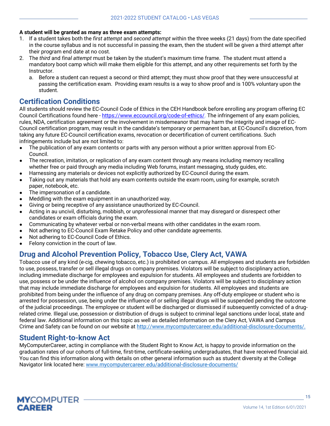#### **A student will be granted as many as three exam attempts:**

- 1. If a student takes both the *first attempt* and *second attempt* within the three weeks (21 days) from the date specified in the course syllabus and is not successful in passing the exam, then the student will be given a third attempt after their program end date at no cost.
- 2. The *third* and *final attempt* must be taken by the student's maximum time frame. The student must attend a mandatory boot camp which will make them eligible for this attempt, and any other requirements set forth by the Instructor.
	- a. Before a student can request a second or third attempt; they must show proof that they were unsuccessful at passing the certification exam. Providing exam results is a way to show proof and is 100% voluntary upon the student.

### <span id="page-16-0"></span>**Certification Conditions**

All students should review the EC-Council Code of Ethics in the CEH Handbook before enrolling any program offering EC Council Certifications found here - [https://www.eccouncil.org/code-of-ethics/.](https://www.eccouncil.org/code-of-ethics/) The infringement of any exam policies, rules, NDA, certification agreement or the involvement in misdemeanor that may harm the integrity and image of EC-Council certification program, may result in the candidate's temporary or permanent ban, at EC-Council's discretion, from taking any future EC-Council certification exams, revocation or decertification of current certifications. Such infringements include but are not limited to:

- The publication of any exam contents or parts with any person without a prior written approval from EC-Council.
- The recreation, imitation, or replication of any exam content through any means including memory recalling whether free or paid through any media including Web forums, instant messaging, study guides, etc.
- Harnessing any materials or devices not explicitly authorized by EC-Council during the exam.
- Taking out any materials that hold any exam contents outside the exam room, using for example, scratch paper, notebook, etc.
- The impersonation of a candidate.
- Meddling with the exam equipment in an unauthorized way.
- Giving or being receptive of any assistance unauthorized by EC-Council.
- Acting in au uncivil, disturbing, mobbish, or unprofessional manner that may disregard or disrespect other candidates or exam officials during the exam.
- Communicating by whatever verbal or non-verbal means with other candidates in the exam room.
- Not adhering to EC-Council Exam Retake Policy and other candidate agreements.
- Not adhering to EC-Council Code of Ethics.
- Felony conviction in the court of law.

### <span id="page-16-1"></span>**Drug and Alcohol Prevention Policy, Tobacco Use, Clery Act, VAWA**

Tobacco use of any kind (e-cig, chewing tobacco, etc.) is prohibited on campus. All employees and students are forbidden to use, possess, transfer or sell illegal drugs on company premises. Violators will be subject to disciplinary action, including immediate discharge for employees and expulsion for students. All employees and students are forbidden to use, possess or be under the influence of alcohol on company premises. Violators will be subject to disciplinary action that may include immediate discharge for employees and expulsion for students. All employees and students are prohibited from being under the influence of any drug on company premises. Any off-duty employee or student who is arrested for possession, use, being under the influence of or selling illegal drugs will be suspended pending the outcome of the judicial proceedings. The employee or student will be discharged or dismissed if subsequently convicted of a drugrelated crime. Illegal use, possession or distribution of drugs is subject to criminal legal sanctions under local, state and federal law. Additional information on this topic as well as detailed information on the Clery Act, VAWA and Campus Crime and Safety can be found on our website at http://www.mycomputercareer.edu/additional-disclosure-documents/.

### <span id="page-16-2"></span>**Student Right-to-know Act**

<span id="page-16-3"></span>MyComputerCareer, acting in compliance with the Student Right to Know Act, is happy to provide information on the graduation rates of our cohorts of full-time, first-time, certificate-seeking undergraduates, that have received financial aid. You can find this information along with details on other general information such as student diversity at the College Navigator link located here[: www.mycomputercareer.edu/additional-disclosure-documents/](http://www.mycomputercareer.edu/additional-disclosure-documents/)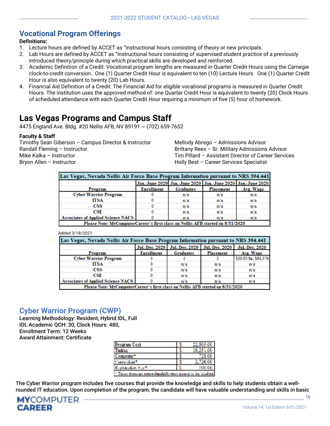### **Vocational Program Offerings**

#### **Definitions:**

- 1. Lecture hours are defined by ACCET as "instructional hours consisting of theory or new principals.
- 2. Lab Hours are defined by ACCET as "Instructional hours consisting of supervised student practice of a previously introduced theory/principle during which practical skills are developed and reinforced.
- 3. Academic Definition of a Credit: Vocational program lengths are measured in Quarter Credit Hours using the Carnegie clock-to-credit conversion. One (1) Quarter Credit Hour is equivalent to ten (10) Lecture Hours. One (1) Quarter Credit Hour is also equivalent to twenty (20) Lab Hours.
- 4. Financial Aid Definition of a Credit: The Financial Aid for eligible vocational programs is measured in Quarter Credit Hours. The institution uses the approved method of: one Quarter Credit Hour is equivalent to twenty (20) Clock Hours of scheduled attendance with each Quarter Credit Hour requiring a minimum of five (5) hour of homework.

# <span id="page-17-0"></span>**Las Vegas Programs and Campus Staff**

4475 England Ave. Bldg. #20 Nellis AFB, NV 89191 ~ (702) 659-7652

#### **Faculty & Staff**

Timothy Sean Giberson – Campus Director & Instructor Randall Fleming – Instructor Mike Kalka – Instructor Bryon Allen – Instructor

Mellody Abrego – Admissions Advisor Brittany Rees – Sr. Military Admissions Advisor Tim Pillard – Assistant Director of Career Services Holly Best – Career Services Specialist

| Las Vegas, Nevada Nellis Air Force Base Program Information pursuant to NRS 394.441 |                   |                                                             |                  |           |  |  |
|-------------------------------------------------------------------------------------|-------------------|-------------------------------------------------------------|------------------|-----------|--|--|
|                                                                                     |                   | Jan.-June 2020 Jan.-June 2020 Jan.-June 2020 Jan.-June 2020 |                  |           |  |  |
| Program                                                                             | <b>Enrollment</b> | <b>Graduates</b>                                            | <b>Placement</b> | Avg. Wage |  |  |
| <b>Cyber Warrior Program</b>                                                        |                   | n/a                                                         | n/a              | n/a       |  |  |
| ITSA                                                                                |                   | n/a                                                         | n/a              | n/a       |  |  |
| CSS                                                                                 |                   | n/a                                                         | n/a              | n/a       |  |  |
| $_{\rm CSE}$                                                                        |                   | n/a                                                         | n/a              | n/a       |  |  |
| <b>Associates of Applied Science NACS</b>                                           |                   | n/a                                                         | n/a              | n/a       |  |  |
| Please Note: MyComputerCareer's first class on Nellis AFB started on 8/31/2020      |                   |                                                             |                  |           |  |  |

|  | Added 3/18/2021: |  |  |  |
|--|------------------|--|--|--|
|--|------------------|--|--|--|

| Las Vegas, Nevada Nellis Air Force Base Program Information pursuant to NRS 394.441 |                   |                                                  |           |                       |  |
|-------------------------------------------------------------------------------------|-------------------|--------------------------------------------------|-----------|-----------------------|--|
|                                                                                     |                   | Jul.-Dec. 2020   Jul.-Dec. 2020   Jul.-Dec. 2020 |           | <b>Jul.-Dec. 2020</b> |  |
| Program                                                                             | <b>Enrollment</b> | <b>Graduates</b>                                 | Placement | Avg. Wage             |  |
| <b>Cyber Warrior Program</b>                                                        |                   |                                                  |           | \$30.95/hr, \$64,376  |  |
| ITSA                                                                                |                   | n/a                                              | n/a       | n/a                   |  |
| CSS                                                                                 |                   | n/a                                              | n/a       | n/a                   |  |
| $_{\rm CSE}$                                                                        |                   | n/a                                              | n/a       | n/a                   |  |
| <b>Associates of Applied Science NACS</b>                                           |                   | n/a                                              | n/a       | n/a                   |  |
| Please Note: MyComputerCareer's first class on Nellis AFB started on 8/31/2020      |                   |                                                  |           |                       |  |
|                                                                                     |                   |                                                  |           |                       |  |

### <span id="page-17-1"></span>**Cyber Warrior Program (CWP)**

Learning Methodology: Resident, Hybrid IDL, Full IDL Academic QCH: 30, Clock Hours: 480, Enrollment Term: 12 Weeks Award Attainment: Certificate

| Program Cost                                                         |   | 22,805,00 |  |  |
|----------------------------------------------------------------------|---|-----------|--|--|
| Tubes                                                                | x | 19.251.0  |  |  |
| Computer                                                             |   | 725.0     |  |  |
| Controlon <sup>y</sup>                                               |   | 2.726.0   |  |  |
| Registration Fea. <sup>7</sup>                                       |   | 119011903 |  |  |
| <sup>3</sup> These deers are non-refundable once issued to the stude |   |           |  |  |

The Cyber Warrior program includes five courses that provide the knowledge and skills to help students obtain a wellrounded IT education. Upon completion of the program, the candidate will have valuable understanding and skills in basic

16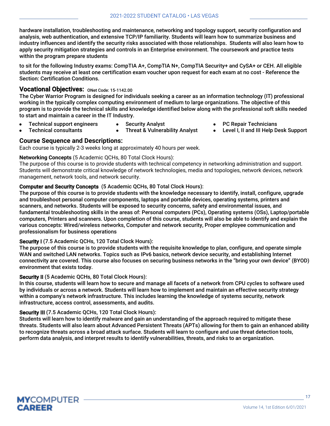hardware installation, troubleshooting and maintenance, networking and topology support, security configuration and analysis, web authentication, and extensive TCP/IP familiarity. Students will learn how to summarize business and industry influences and identify the security risks associated with those relationships. Students will also learn how to apply security mitigation strategies and controls in an Enterprise environment. The coursework and practice tests within the program prepare students

to sit for the following Industry exams: CompTIA A+, CompTIA N+, CompTIA Security+ and CySA+ or CEH. All eligible students may receive at least one certification exam voucher upon request for each exam at no cost - Reference the Section: Certification Conditions.

### Vocational Objectives: ONet Code: 15-1142.00

The Cyber Warrior Program is designed for individuals seeking a career as an information technology (IT) professional working in the typically complex computing environment of medium to large organizations. The objective of this program is to provide the technical skills and knowledge identified below along with the professional soft skills needed to start and maintain a career in the IT Industry.

- Technical support engineers **Technical consultants**
- Security Analyst **Threat & Vulnerability Analyst**
- PC Repair Technicians
- Level I, II and III Help Desk Support

### **Course Sequence and Descriptions:**

Each course is typically 2-3 weeks long at approximately 40 hours per week.

#### **Networking Concepts** (5 Academic QCHs, 80 Total Clock Hours):

The purpose of this course is to provide students with technical competency in networking administration and support. Students will demonstrate critical knowledge of network technologies, media and topologies, network devices, network management, network tools, and network security.

#### Computer and Security Concepts (5 Academic QCHs, 80 Total Clock Hours):

The purpose of this course is to provide students with the knowledge necessary to identify, install, configure, upgrade and troubleshoot personal computer components, laptops and portable devices, operating systems, printers and scanners, and networks. Students will be exposed to security concerns, safety and environmental issues, and fundamental troubleshooting skills in the areas of: Personal computers (PCs), Operating systems (OSs), Laptop/portable computers, Printers and scanners. Upon completion of this course, students will also be able to identify and explain the various concepts: Wired/wireless networks, Computer and network security, Proper employee communication and professionalism for business operations

#### Security I (7.5 Academic QCHs, 120 Total Clock Hours):

The purpose of this course is to provide students with the requisite knowledge to plan, configure, and operate simple WAN and switched LAN networks. Topics such as IPv6 basics, network device security, and establishing Internet connectivity are covered. This course also focuses on securing business networks in the "bring your own device" (BYOD) environment that exists today.

#### Security II (5 Academic QCHs, 80 Total Clock Hours):

In this course, students will learn how to secure and manage all facets of a network from CPU cycles to software used by individuals or across a network. Students will learn how to implement and maintain an effective security strategy within a company's network infrastructure. This includes learning the knowledge of systems security, network infrastructure, access control, assessments, and audits.

#### Security III (7.5 Academic QCHs, 120 Total Clock Hours):

Students will learn how to identify malware and gain an understanding of the approach required to mitigate these threats. Students will also learn about Advanced Persistent Threats (APTs) allowing for them to gain an enhanced ability to recognize threats across a broad attack surface. Students will learn to configure and use threat detection tools, perform data analysis, and interpret results to identify vulnerabilities, threats, and risks to an organization.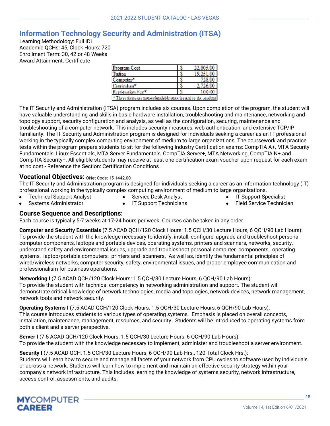### <span id="page-19-0"></span>**Information Technology Security and Administration (ITSA)**

Learning Methodology: Full IDL Academic QCHs: 45, Clock Hours: 720 Enrollment Term: 30, 42 or 48 Weeks Award Attainment: Certificate

| Program Cost                                                     | E | 22,805.0 |  |
|------------------------------------------------------------------|---|----------|--|
| 'Thiticas                                                        | z | 192518   |  |
| *Computer*                                                       | z | 725 B    |  |
| Kamiratan Y                                                      | E | 3,796,06 |  |
| Readshatten Fea.7                                                |   | 1186 156 |  |
| <sup>16</sup> These down are monocloudable once issued to the st |   |          |  |

The IT Security and Administration (ITSA) program includes six courses. Upon completion of the program, the student will have valuable understanding and skills in basic hardware installation, troubleshooting and maintenance, networking and topology support, security configuration and analysis, as well as the configuration, securing, maintenance and troubleshooting of a computer network. This includes security measures, web authentication, and extensive TCP/IP familiarity. The IT Security and Administration program is designed for individuals seeking a career as an IT professional working in the typically complex computing environment of medium to large organizations. The coursework and practice tests within the program prepare students to sit for the following Industry Certification exams: CompTIA A+, MTA Security Fundamentals, Linux Essentials, MTA Server Fundamentals, CompTIA Server+, MTA Networking, CompTIA N+ and CompTIA Security+. All eligible students may receive at least one certification exam voucher upon request for each exam at no cost - Reference the Section: Certification Conditions .

#### **Vocational Objectives: ONet Code: 15-1442.00**

The IT Security and Administration program is designed for individuals seeking a career as an information technology (IT) professional working in the typically complex computing environment of medium to large organizations.

- Technical Support Analyst
- **•** Service Desk Analyst
- IT Support Specialist
- Systems Administrator
- **IT Support Technicians**
- 
- 
- 
- Field Service Technician

#### **Course Sequence and Descriptions:**

Each course is typically 5-7 weeks at 17-24 hours per week. Courses can be taken in any order.

**Computer and Security Essentials** (7.5 ACAD QCH/120 Clock Hours: 1.5 QCH/30 Lecture Hours, 6 QCH/90 Lab Hours): To provide the student with the knowledge necessary to identify, install, configure, upgrade and troubleshoot personal computer components, laptops and portable devices, operating systems, printers and scanners, networks, security, understand safety and environmental issues, upgrade and troubleshoot personal computer components, operating systems, laptop/portable computers, printers and scanners. As well as, identify the fundamental principles of wired/wireless networks, computer security, safety, environmental issues, and proper employee communication and professionalism for business operations.

**Networking I** (7.5 ACAD QCH/120 Clock Hours: 1.5 QCH/30 Lecture Hours, 6 QCH/90 Lab Hours): To provide the student with technical competency in networking administration and support. The student will demonstrate critical knowledge of network technologies, media and topologies, network devices, network management, network tools and network security.

**Operating Systems I** (7.5 ACAD QCH/120 Clock Hours: 1.5 QCH/30 Lecture Hours, 6 QCH/90 Lab Hours): This course introduces students to various types of operating systems. Emphasis is placed on overall concepts, installation, maintenance, management, resources, and security. Students will be introduced to operating systems from both a client and a server perspective.

**Server I** (7.5 ACAD QCH/120 Clock Hours: 1.5 QCH/30 Lecture Hours, 6 QCH/90 Lab Hours): To provide the student with the knowledge necessary to implement, administer and troubleshoot a server environment.

#### **Security I** (7.5 ACAD QCH, 1.5 QCH/30 Lecture Hours, 6 QCH/90 Lab Hrs., 120 Total Clock Hrs.):

Students will learn how to secure and manage all facets of your network from CPU cycles to software used by individuals or across a network. Students will learn how to implement and maintain an effective security strategy within your company's network infrastructure. This includes learning the knowledge of systems security, network infrastructure, access control, assessments, and audits.

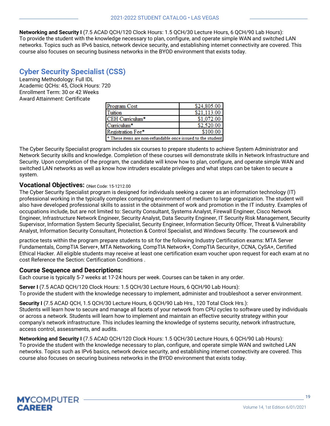**Networking and Security I** (7.5 ACAD QCH/120 Clock Hours: 1.5 QCH/30 Lecture Hours, 6 QCH/90 Lab Hours): To provide the student with the knowledge necessary to plan, configure, and operate simple WAN and switched LAN networks. Topics such as IPv6 basics, network device security, and establishing internet connectivity are covered. This course also focuses on securing business networks in the BYOD environment that exists today.

### <span id="page-20-0"></span>**Cyber Security Specialist (CSS)**

Learning Methodology: Full IDL Academic QCHs: 45, Clock Hours: 720 Enrollment Term: 30 or 42 Weeks Award Attainment: Certificate

| Program Cost                                                | \$24,805.00 |  |  |
|-------------------------------------------------------------|-------------|--|--|
| Tuition                                                     | \$21,113.00 |  |  |
| CEH Curriculum*                                             | \$1,072.00  |  |  |
| Curriculum*                                                 | \$2,520.00  |  |  |
| Registration Fee*                                           | \$100.00    |  |  |
| * These items are non-refundable once issued to the student |             |  |  |

The Cyber Security Specialist program includes six courses to prepare students to achieve System Administrator and Network Security skills and knowledge. Completion of these courses will demonstrate skills in Network Infrastructure and Security. Upon completion of the program, the candidate will know how to plan, configure, and operate simple WAN and switched LAN networks as well as know how intruders escalate privileges and what steps can be taken to secure a system.

### Vocational Objectives: ONet Code: 15-1212.00

The Cyber Security Specialist program is designed for individuals seeking a career as an information technology (IT) professional working in the typically complex computing environment of medium to large organization. The student will also have developed professional skills to assist in the obtainment of work and promotion in the IT industry. Examples of occupations include, but are not limited to: Security Consultant, Systems Analyst, Firewall Engineer, Cisco Network Engineer, Infrastructure Network Engineer, Security Analyst, Data Security Engineer, IT Security Risk Management, Security Supervisor, Information System Security Specialist, Security Engineer, Information Security Officer, Threat & Vulnerability Analyst, Information Security Consultant, Protection & Control Specialist, and Windows Security. The coursework and

practice tests within the program prepare students to sit for the following Industry Certification exams: MTA Server Fundamentals, CompTIA Server+, MTA Networking, CompTIA Network+, CompTIA Security+, CCNA, CySA+, Certified Ethical Hacker. All eligible students may receive at least one certification exam voucher upon request for each exam at no cost Reference the Section: Certification Conditions .

### **Course Sequence and Descriptions:**

Each course is typically 5-7 weeks at 17-24 hours per week. Courses can be taken in any order.

**Server I** (7.5 ACAD QCH/120 Clock Hours: 1.5 QCH/30 Lecture Hours, 6 QCH/90 Lab Hours): To provide the student with the knowledge necessary to implement, administer and troubleshoot a server environment.

**Security I** (7.5 ACAD QCH, 1.5 QCH/30 Lecture Hours, 6 QCH/90 Lab Hrs., 120 Total Clock Hrs.): Students will learn how to secure and manage all facets of your network from CPU cycles to software used by individuals or across a network. Students will learn how to implement and maintain an effective security strategy within your company's network infrastructure. This includes learning the knowledge of systems security, network infrastructure, access control, assessments, and audits.

**Networking and Security I** (7.5 ACAD QCH/120 Clock Hours: 1.5 QCH/30 Lecture Hours, 6 QCH/90 Lab Hours): To provide the student with the knowledge necessary to plan, configure, and operate simple WAN and switched LAN networks. Topics such as IPv6 basics, network device security, and establishing internet connectivity are covered. This course also focuses on securing business networks in the BYOD environment that exists today.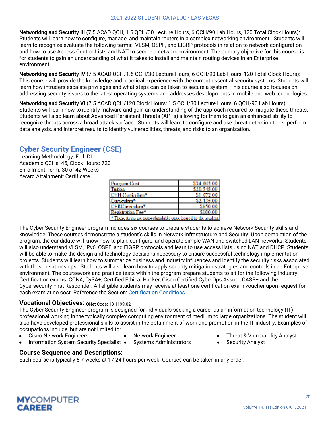**Networking and Security III** (7.5 ACAD QCH, 1.5 QCH/30 Lecture Hours, 6 QCH/90 Lab Hours, 120 Total Clock Hours): Students will learn how to configure, manage, and maintain routers in a complex networking environment. Students will learn to recognize evaluate the following terms: VLSM, OSPF, and EIGRP protocols in relation to network configuration and how to use Access Control Lists and NAT to secure a network environment. The primary objective for this course is for students to gain an understanding of what it takes to install and maintain routing devices in an Enterprise environment.

**Networking and Security IV** (7.5 ACAD QCH, 1.5 QCH/30 Lecture Hours, 6 QCH/90 Lab Hours, 120 Total Clock Hours): This course will provide the knowledge and practical experience with the current essential security systems. Students will learn how intruders escalate privileges and what steps can be taken to secure a system. This course also focuses on addressing security issues to the latest operating systems and addresses developments in mobile and web technologies.

**Networking and Security VI** (7.5 ACAD QCH/120 Clock Hours: 1.5 QCH/30 Lecture Hours, 6 QCH/90 Lab Hours): Students will learn how to identify malware and gain an understanding of the approach required to mitigate these threats. Students will also learn about Advanced Persistent Threats (APTs) allowing for them to gain an enhanced ability to recognize threats across a broad attack surface. Students will learn to configure and use threat detection tools, perform data analysis, and interpret results to identify vulnerabilities, threats, and risks to an organization.

## <span id="page-21-0"></span>**Cyber Security Engineer (CSE)**

Learning Methodology: Full IDL Academic QCHs: 45, Clock Hours: 720 Enrollment Term: 30 or 42 Weeks Award Attainment: Certificate

| Program Cost                                                             | \$24,805,00 |  |  |  |
|--------------------------------------------------------------------------|-------------|--|--|--|
| Tuben                                                                    | \$20,548,00 |  |  |  |
| CEH Correntore"                                                          | \$1,072,00  |  |  |  |
| Cariculum*                                                               | \$2,435,00  |  |  |  |
| C.F.RC. minutum*                                                         | \$65.0.00   |  |  |  |
| Registration Fee <sup>4</sup>                                            | 2100.00     |  |  |  |
| <sup>3</sup> These items or energy distribute term issued to the student |             |  |  |  |

The Cyber Security Engineer program includes six courses to prepare students to achieve Network Security skills and knowledge. These courses demonstrate a student's skills in Network Infrastructure and Security. Upon completion of the program, the candidate will know how to plan, configure, and operate simple WAN and switched LAN networks. Students will also understand VLSM, IPv6, OSPF, and EIGRP protocols and learn to use access lists using NAT and DHCP. Students will be able to make the design and technology decisions necessary to ensure successful technology implementation projects. Students will learn how to summarize business and industry influences and identify the security risks associated with those relationships. Students will also learn how to apply security mitigation strategies and controls in an Enterprise environment. The coursework and practice tests within the program prepare students to sit for the following Industry Certification exams: CCNA, CySA+, Certified Ethical Hacker, Cisco Certified CyberOps Assoc., CASP+ and the Cybersecurity First Responder. All eligible students may receive at least one certification exam voucher upon request for each exam at no cost. Reference the Section: Certification Conditions

### **Vocational Objectives: ONet Code: 13-1199.02**

The Cyber Security Engineer program is designed for individuals seeking a career as an information technology (IT) professional working in the typically complex computing environment of medium to large organizations. The student will also have developed professional skills to assist in the obtainment of work and promotion in the IT industry. Examples of occupations include, but are not limited to:

- **Cisco Network Engineers**
- Network Engineer
- Information System Security Specialist Systems Administrators
- -
- Threat & Vulnerability Analyst
- **Security Analyst**

### **Course Sequence and Descriptions:**

Each course is typically 5-7 weeks at 17-24 hours per week. Courses can be taken in any order.

**MYCOMPUTER** CADFFD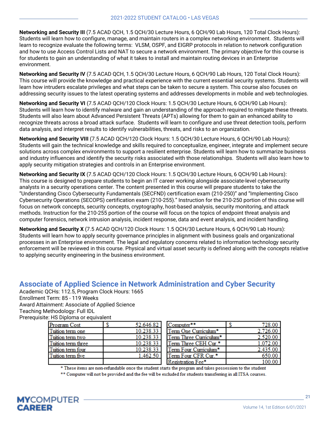**Networking and Security III** (7.5 ACAD QCH, 1.5 QCH/30 Lecture Hours, 6 QCH/90 Lab Hours, 120 Total Clock Hours): Students will learn how to configure, manage, and maintain routers in a complex networking environment. Students will learn to recognize evaluate the following terms: VLSM, OSPF, and EIGRP protocols in relation to network configuration and how to use Access Control Lists and NAT to secure a network environment. The primary objective for this course is for students to gain an understanding of what it takes to install and maintain routing devices in an Enterprise environment.

**Networking and Security IV** (7.5 ACAD QCH, 1.5 QCH/30 Lecture Hours, 6 QCH/90 Lab Hours, 120 Total Clock Hours): This course will provide the knowledge and practical experience with the current essential security systems. Students will learn how intruders escalate privileges and what steps can be taken to secure a system. This course also focuses on addressing security issues to the latest operating systems and addresses developments in mobile and web technologies.

**Networking and Security VI** (7.5 ACAD QCH/120 Clock Hours: 1.5 QCH/30 Lecture Hours, 6 QCH/90 Lab Hours): Students will learn how to identify malware and gain an understanding of the approach required to mitigate these threats. Students will also learn about Advanced Persistent Threats (APTs) allowing for them to gain an enhanced ability to recognize threats across a broad attack surface. Students will learn to configure and use threat detection tools, perform data analysis, and interpret results to identify vulnerabilities, threats, and risks to an organization.

**Networking and Security VIII** (7.5 ACAD QCH/120 Clock Hours: 1.5 QCH/30 Lecture Hours, 6 QCH/90 Lab Hours): Students will gain the technical knowledge and skills required to conceptualize, engineer, integrate and implement secure solutions across complex environments to support a resilient enterprise. Students will learn how to summarize business and industry influences and identify the security risks associated with those relationships. Students will also learn how to apply security mitigation strategies and controls in an Enterprise environment.

**Networking and Security IX** (7.5 ACAD QCH/120 Clock Hours: 1.5 QCH/30 Lecture Hours, 6 QCH/90 Lab Hours): This course is designed to prepare students to begin an IT career working alongside associate-level cybersecurity analysts in a security operations center. The content presented in this course will prepare students to take the "Understanding Cisco Cybersecurity Fundamentals (SECFND) certification exam (210-250)" and "Implementing Cisco Cybersecurity Operations (SECOPS) certification exam (210-255)." Instruction for the 210-250 portion of this course will focus on network concepts, security concepts, cryptography, host-based analysis, security monitoring, and attack methods. Instruction for the 210-255 portion of the course will focus on the topics of endpoint threat analysis and computer forensics, network intrusion analysis, incident response, data and event analysis, and incident handling.

**Networking and Security X** (7.5 ACAD QCH/120 Clock Hours: 1.5 QCH/30 Lecture Hours, 6 QCH/90 Lab Hours): Students will learn how to apply security governance principles in alignment with business goals and organizational processes in an Enterprise environment. The legal and regulatory concerns related to information technology security enforcement will be reviewed in this course. Physical and virtual asset security is defined along with the concepts relative to applying security engineering in the business environment.

### <span id="page-22-0"></span>**Associate of Applied Science in Network Administration and Cyber Security**

Academic QCHs: 112.5, Program Clock Hours: 1665 Enrollment Term: 85 - 119 Weeks Award Attainment: Associate of Applied Science Teaching Methodology: Full IDL Prerequisite: HS Diploma or equivalent

| Program Cost       | 52.646.82 | Computer**             | 728.00   |
|--------------------|-----------|------------------------|----------|
| Tuition term one   | 10.238.33 | Term One Curriculum*   | 2,726.00 |
| Tuition term two   | 10.238.33 | Term Three Curriculum* | 2,520.00 |
| Tuition term three | 10.238.33 | Term Three CEH Cur.*   | 1.072.00 |
| Tuition term four  | 10.238.33 | Term Four Curriculum*  | 2,435.00 |
| Tuition term five  | 1,462.50  | Term Four CFR Cur.*    | 650.00   |
|                    |           | Remetration Fee*       | 100.00 l |

\* These items are non-refundable once the student starts the program and takes possession to the student \*\* Computer will not be provided and the fee will be excluded for students transferring in all ITSA courses.

**MYCOMPUTER CAREER**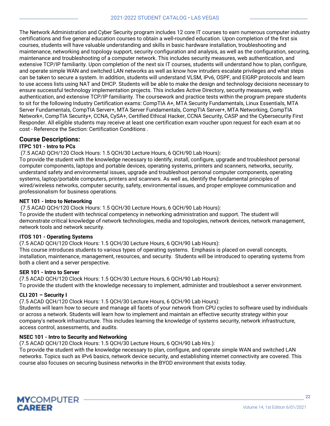The Network Administration and Cyber Security program includes 12 core IT courses to earn numerous computer industry certifications and five general education courses to obtain a well-rounded education. Upon completion of the first six courses, students will have valuable understanding and skills in basic hardware installation, troubleshooting and maintenance, networking and topology support, security configuration and analysis, as well as the configuration, securing, maintenance and troubleshooting of a computer network. This includes security measures, web authentication, and extensive TCP/IP familiarity. Upon completion of the next six IT courses, students will understand how to plan, configure, and operate simple WAN and switched LAN networks as well as know how intruders escalate privileges and what steps can be taken to secure a system. In addition, students will understand VLSM, IPv6, OSPF, and EIGRP protocols and learn to use access lists using NAT and DHCP. Students will be able to make the design and technology decisions necessary to ensure successful technology implementation projects. This includes Active Directory, security measures, web authentication, and extensive TCP/IP familiarity. The coursework and practice tests within the program prepare students to sit for the following Industry Certification exams: CompTIA A+, MTA Security Fundamentals, Linux Essentials, MTA Server Fundamentals, CompTIA Server+, MTA Server Fundamentals, CompTIA Server+, MTA Networking, CompTIA Network+, CompTIA Security+, CCNA, CySA+, Certified Ethical Hacker, CCNA Security, CASP and the Cybersecurity First Responder. All eligible students may receive at least one certification exam voucher upon request for each exam at no cost - Reference the Section: Certification Conditions .

#### **Course Descriptions:**

#### **ITPC 101 - Intro to PCs**

#### (7.5 ACAD QCH/120 Clock Hours: 1.5 QCH/30 Lecture Hours, 6 QCH/90 Lab Hours):

To provide the student with the knowledge necessary to identify, install, configure, upgrade and troubleshoot personal computer components, laptops and portable devices, operating systems, printers and scanners, networks, security, understand safety and environmental issues, upgrade and troubleshoot personal computer components, operating systems, laptop/portable computers, printers and scanners. As well as, identify the fundamental principles of wired/wireless networks, computer security, safety, environmental issues, and proper employee communication and professionalism for business operations.

#### **NET 101 - Intro to Networking**

(7.5 ACAD QCH/120 Clock Hours: 1.5 QCH/30 Lecture Hours, 6 QCH/90 Lab Hours):

To provide the student with technical competency in networking administration and support. The student will demonstrate critical knowledge of network technologies, media and topologies, network devices, network management, network tools and network security.

#### **ITOS 101 - Operating Systems**

(7.5 ACAD QCH/120 Clock Hours: 1.5 QCH/30 Lecture Hours, 6 QCH/90 Lab Hours):

This course introduces students to various types of operating systems. Emphasis is placed on overall concepts, installation, maintenance, management, resources, and security. Students will be introduced to operating systems from both a client and a server perspective.

#### **SER 101 - Intro to Server**

(7.5 ACAD QCH/120 Clock Hours: 1.5 QCH/30 Lecture Hours, 6 QCH/90 Lab Hours): To provide the student with the knowledge necessary to implement, administer and troubleshoot a server environment.

#### **CLI 201 – Security I**

(7.5 ACAD QCH/120 Clock Hours: 1.5 QCH/30 Lecture Hours, 6 QCH/90 Lab Hours):

Students will learn how to secure and manage all facets of your network from CPU cycles to software used by individuals or across a network. Students will learn how to implement and maintain an effective security strategy within your company's network infrastructure. This includes learning the knowledge of systems security, network infrastructure, access control, assessments, and audits.

#### **NSEC 101 - Intro to Security and Networking**

(7.5 ACAD QCH/120 Clock Hours: 1.5 QCH/30 Lecture Hours, 6 QCH/90 Lab Hrs.):

To provide the student with the knowledge necessary to plan, configure, and operate simple WAN and switched LAN networks. Topics such as IPv6 basics, network device security, and establishing internet connectivity are covered. This course also focuses on securing business networks in the BYOD environment that exists today.

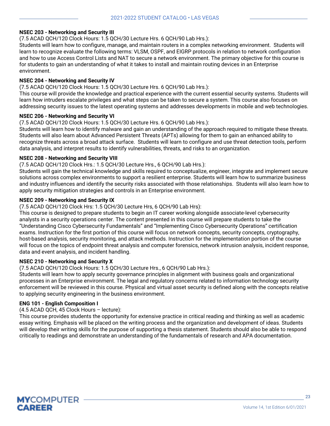#### **NSEC 203 - Networking and Security III**

(7.5 ACAD QCH/120 Clock Hours: 1.5 QCH/30 Lecture Hrs. 6 QCH/90 Lab Hrs.):

Students will learn how to configure, manage, and maintain routers in a complex networking environment. Students will learn to recognize evaluate the following terms: VLSM, OSPF, and EIGRP protocols in relation to network configuration and how to use Access Control Lists and NAT to secure a network environment. The primary objective for this course is for students to gain an understanding of what it takes to install and maintain routing devices in an Enterprise environment.

#### **NSEC 204 - Networking and Security IV**

(7.5 ACAD QCH/120 Clock Hours: 1.5 QCH/30 Lecture Hrs. 6 QCH/90 Lab Hrs.):

This course will provide the knowledge and practical experience with the current essential security systems. Students will learn how intruders escalate privileges and what steps can be taken to secure a system. This course also focuses on addressing security issues to the latest operating systems and addresses developments in mobile and web technologies.

#### **NSEC 206 - Networking and Security VI**

(7.5 ACAD QCH/120 Clock Hours: 1.5 QCH/30 Lecture Hrs. 6 QCH/90 Lab Hrs.):

Students will learn how to identify malware and gain an understanding of the approach required to mitigate these threats. Students will also learn about Advanced Persistent Threats (APTs) allowing for them to gain an enhanced ability to recognize threats across a broad attack surface. Students will learn to configure and use threat detection tools, perform data analysis, and interpret results to identify vulnerabilities, threats, and risks to an organization.

#### **NSEC 208 - Networking and Security VIII**

(7.5 ACAD QCH/120 Clock Hrs.: 1.5 QCH/30 Lecture Hrs., 6 QCH/90 Lab Hrs.):

Students will gain the technical knowledge and skills required to conceptualize, engineer, integrate and implement secure solutions across complex environments to support a resilient enterprise. Students will learn how to summarize business and industry influences and identify the security risks associated with those relationships. Students will also learn how to apply security mitigation strategies and controls in an Enterprise environment.

#### **NSEC 209 - Networking and Security IX**

(7.5 ACAD QCH/120 Clock Hrs: 1.5 QCH/30 Lecture Hrs, 6 QCH/90 Lab Hrs):

This course is designed to prepare students to begin an IT career working alongside associate-level cybersecurity analysts in a security operations center. The content presented in this course will prepare students to take the "Understanding Cisco Cybersecurity Fundamentals" and "Implementing Cisco Cybersecurity Operations" certification exams. Instruction for the first portion of this course will focus on network concepts, security concepts, cryptography, host-based analysis, security monitoring, and attack methods. Instruction for the implementation portion of the course will focus on the topics of endpoint threat analysis and computer forensics, network intrusion analysis, incident response, data and event analysis, and incident handling.

#### **NSEC 210 - Networking and Security X**

(7.5 ACAD QCH/120 Clock Hours: 1.5 QCH/30 Lecture Hrs., 6 QCH/90 Lab Hrs.):

Students will learn how to apply security governance principles in alignment with business goals and organizational processes in an Enterprise environment. The legal and regulatory concerns related to information technology security enforcement will be reviewed in this course. Physical and virtual asset security is defined along with the concepts relative to applying security engineering in the business environment.

#### **ENG 101 - English Composition I**

#### (4.5 ACAD QCH, 45 Clock Hours – lecture):

This course provides students the opportunity for extensive practice in critical reading and thinking as well as academic essay writing. Emphasis will be placed on the writing process and the organization and development of ideas. Students will develop their writing skills for the purpose of supporting a thesis statement. Students should also be able to respond critically to readings and demonstrate an understanding of the fundamentals of research and APA documentation.

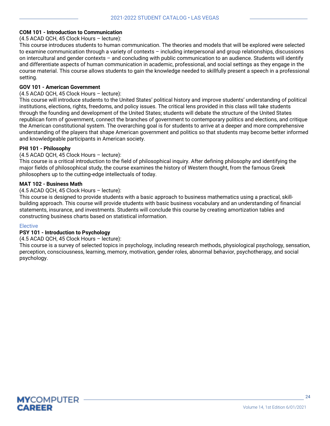#### **COM 101 - Introduction to Communication**

(4.5 ACAD QCH, 45 Clock Hours – lecture):

This course introduces students to human communication. The theories and models that will be explored were selected to examine communication through a variety of contexts – including interpersonal and group relationships, discussions on intercultural and gender contexts – and concluding with public communication to an audience. Students will identify and differentiate aspects of human communication in academic, professional, and social settings as they engage in the course material. This course allows students to gain the knowledge needed to skillfully present a speech in a professional setting.

#### **GOV 101 - American Government**

#### (4.5 ACAD QCH, 45 Clock Hours – lecture):

This course will introduce students to the United States' political history and improve students' understanding of political institutions, elections, rights, freedoms, and policy issues. The critical lens provided in this class will take students through the founding and development of the United States; students will debate the structure of the United States republican form of government, connect the branches of government to contemporary politics and elections, and critique the American constitutional system. The overarching goal is for students to arrive at a deeper and more comprehensive understanding of the players that shape American government and politics so that students may become better informed and knowledgeable participants in American society.

#### **PHI 101 - Philosophy**

#### (4.5 ACAD QCH, 45 Clock Hours – lecture):

This course is a critical introduction to the field of philosophical inquiry. After defining philosophy and identifying the major fields of philosophical study, the course examines the history of Western thought, from the famous Greek philosophers up to the cutting-edge intellectuals of today.

#### **MAT 102 - Business Math**

#### (4.5 ACAD QCH, 45 Clock Hours – lecture):

This course is designed to provide students with a basic approach to business mathematics using a practical, skillbuilding approach. This course will provide students with basic business vocabulary and an understanding of financial statements, insurance, and investments. Students will conclude this course by creating amortization tables and constructing business charts based on statistical information.

#### Elective

#### **PSY 101 - Introduction to Psychology**

(4.5 ACAD QCH, 45 Clock Hours – lecture):

This course is a survey of selected topics in psychology, including research methods, physiological psychology, sensation, perception, consciousness, learning, memory, motivation, gender roles, abnormal behavior, psychotherapy, and social psychology.